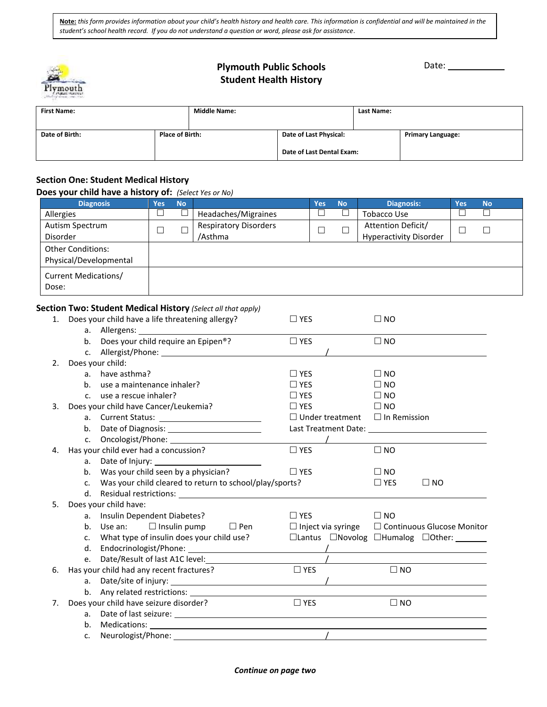*student's school health record. If you do not understand a question or word, please ask for assistance*. **Note:** *this form provides information about your child's health history and health care. This information is confidential and will be maintained in the* 



# Plymouth Public Schools **Date:** Date: **Student Health History**

| <b>First Name:</b> |                        | <b>Middle Name:</b> |                           | Last Name: |                          |  |
|--------------------|------------------------|---------------------|---------------------------|------------|--------------------------|--|
| Date of Birth:     | <b>Place of Birth:</b> |                     | Date of Last Physical:    |            | <b>Primary Language:</b> |  |
|                    |                        |                     | Date of Last Dental Exam: |            |                          |  |

# **Section One: Student Medical History**

## **Does your child have a history of:** *(Select Yes or No)*

| <b>Diagnosis</b>                                   | Yes | <b>No</b> |                                         | <b>Yes</b> | <b>No</b> | <b>Diagnosis:</b>                                   | Yes | <b>No</b> |
|----------------------------------------------------|-----|-----------|-----------------------------------------|------------|-----------|-----------------------------------------------------|-----|-----------|
| Allergies                                          |     |           | Headaches/Migraines                     |            |           | <b>Tobacco Use</b>                                  |     |           |
| Autism Spectrum<br>Disorder                        |     |           | <b>Respiratory Disorders</b><br>/Asthma |            |           | Attention Deficit/<br><b>Hyperactivity Disorder</b> |     |           |
| <b>Other Conditions:</b><br>Physical/Developmental |     |           |                                         |            |           |                                                     |     |           |
| Current Medications/<br>Dose:                      |     |           |                                         |            |           |                                                     |     |           |

# **Section Two: Student Medical History** *(Select all that apply)*

| 1. |                | Does your child have a life threatening allergy?        | $\Box$ YES             | $\square$ NO                                                |
|----|----------------|---------------------------------------------------------|------------------------|-------------------------------------------------------------|
|    | a.             |                                                         |                        |                                                             |
|    |                | b. Does your child require an Epipen®?                  | $\Box$ YES             | $\Box$ NO                                                   |
|    | $c_{\cdot}$    |                                                         |                        |                                                             |
| 2. |                | Does your child:                                        |                        |                                                             |
|    | a <sub>z</sub> | have asthma?                                            | $\Box$ YES             | $\Box$ NO                                                   |
|    | b <sub>1</sub> | use a maintenance inhaler?                              | $\Box$ YES             | $\Box$ NO                                                   |
|    | $\mathsf{C}$ . | use a rescue inhaler?                                   | $\Box$ YES             | $\Box$ NO                                                   |
| 3. |                | Does your child have Cancer/Leukemia?                   | $\Box$ YES             | $\Box$ NO                                                   |
|    | а.             |                                                         | $\Box$ Under treatment | $\Box$ In Remission                                         |
|    | b.             |                                                         |                        |                                                             |
|    | C.             |                                                         |                        |                                                             |
| 4. |                | Has your child ever had a concussion?                   | $\Box$ YES             | $\Box$ NO                                                   |
|    | a.             |                                                         |                        |                                                             |
|    | b.             | Was your child seen by a physician?                     | $\Box$ YES             | $\square$ NO                                                |
|    | $\mathsf{C}$ . | Was your child cleared to return to school/play/sports? |                        | $\Box$ YES<br>$\square$ NO                                  |
|    | d.             |                                                         |                        |                                                             |
| 5. |                | Does your child have:                                   |                        |                                                             |
|    | a.             | Insulin Dependent Diabetes?                             | $\Box$ YES             | $\Box$ NO                                                   |
|    | b.             | Use an: $\Box$ Insulin pump<br>$\square$ Pen            |                        | $\Box$ Inject via syringe $\Box$ Continuous Glucose Monitor |
|    | $C_{\bullet}$  | What type of insulin does your child use?               |                        | □Lantus □Novolog □Humalog □Other: ______                    |
|    | d.             |                                                         |                        |                                                             |
|    | e.             |                                                         |                        |                                                             |
| 6. |                | Has your child had any recent fractures?                | $\Box$ YES             | $\Box$ NO                                                   |
|    | a.             |                                                         |                        |                                                             |
|    |                |                                                         |                        |                                                             |
| 7. |                | Does your child have seizure disorder?                  | $\Box$ YES             | $\Box$ NO                                                   |
|    | a.             |                                                         |                        |                                                             |
|    | b.             |                                                         |                        |                                                             |
|    | c.             | Neurologist/Phone:                                      |                        |                                                             |